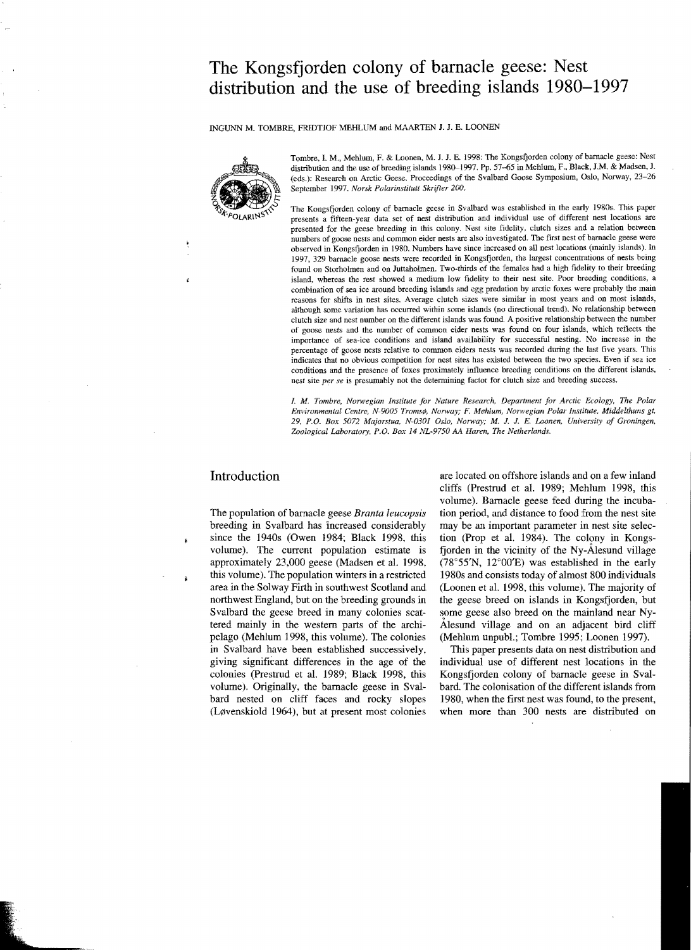# **The Kongsfjorden colony of barnacle geese: Nest distribution and the use of breeding islands 1980-1997**

INGUNN M. TOMBRE, FRIDTJOF MEHLUM and MAARTEN J. J. E. LOONEN



Tombre, I. M., Mehium, F. & Loonen, M. J. J. E. 1998: The Kongsfjorden colony of barnacle geese: Nest distribution and the use of breeding islands 1980-1997. Pp. 57-65 in Mehlum, F., Black, J.M. & Madsen, J. (eds.): Research on Arctic Geese. Proceedings of the Svalbard Goose Symposium, Oslo, Norway, 23-26 September 1997. *Norsk Polarinstitutt Skrifter 200.* 

The Kongsfjorden colony of barnacle geese in Svalbard was established in the early 1980s. This paper presents a fifteen-year data set of nest distribution and individual use of different nest locations are presented for the geese breeding in this colony. Nest site fidelity, clutch sizes and a relation between numbers of goose nests and common eider nests are also investigated. The first nest of barnacle geese were observed in Kongsfjorden in 1980. Numbers have since increased on all nest locations (mainly islands). In 1997, 329 barnacle goose nests were recorded in Kongsfjorden, the largest concentrations of nests being found on Storholmen and on Juttaholmen. Two-thirds of the females had a high fidelity to their breeding island, whereas the rest showed a medium low fidelity to their nest site. Poor breeding conditions, a combination of sea ice around breeding islands and egg predation by arctic foxes were probably the main reasons for shifts in nest sites. Average clutch sizes were similar in most years and on most islands, although some variation has occurred within some islands (no directional trend). No relationship between clutch size and nest number on the different islands was found. A positive relationship between the number of goose nests and the number of common eider nests was found on four islands, which reflects the importance of sea-ice conditions and island availability for successful nesting. No increase in the percentage of goose nests relative to common eiders nests was recorded during the last five years. This indicates that no obvious competition for nest sites has existed between the two species. Even if sea ice conditions and the presence of foxes proximately influence breeding conditions on the different islands, nest site *per se* is presumably not the determining factor for clutch size and breeding success.

I. *M. Tombre, Norwegian Institute for Nature Research, Department for Arctic Ecology, The Polar Environmental Centre, N-9005 Troms¢, Norway; F. Mehlum, Norwegian Polar Institute, Middelthuns gt. 29, P.O. Box 5072 Majorstua, N-0301 Oslo, Norway; M.* J. J. *E. Loonen, University of Groningen, Zoological Laboratory, P.O. Box* 14 *NL-9750 AA Haren, The Netherlands.* 

### **Introduction**

į

Â

The population of barnacle geese *Branta leucopsis*  breeding in Svalbard has increased considerably since the 1940s (Owen 1984; Black 1998, this volume). The current population estimate is approximately 23,000 geese (Madsen et al. 1998, this volume). The population winters in a restricted area in the Solway Firth in southwest Scotland and northwest England, but on the breeding grounds in Svalbard the geese breed in many colonies scattered mainly in the western parts of the archipelago (Mehlum 1998, this volume). The colonies in Svalbard have been established successively, giving significant differences in the age of the colonies (Prestrud et al. 1989; Black 1998, this volume). Originally, the barnacle geese in Svalbard nested on cliff faces and rocky slopes (Løvenskiold 1964), but at present most colonies

are located on offshore islands and on a few inland cliffs (Prestrud et al. 1989; Mehlum 1998, this volume), Barnacle geese feed during the incubation period, and distance to food from the nest site may be an important parameter in nest site selection (Prop et al. 1984). The colony in Kongsfjorden in the vicinity of the Ny-Alesund village (78°55'N, 12°00'E) was established in the early 19808 and consists today of almost 800 individuals (Loonen et al. 1998, this volume). The majority of the geese breed on islands in Kongsfjorden, but some geese also breed on the mainland near Ny .Atesund village and on an adjacent bird cliff (Mehlum unpub!.; Tombre 1995; Loonen 1997).

This paper presents data on nest distribution and individual use of different nest locations in the Kongsfjorden colony of barnacle geese in Svalbard, The colonisation of the different islands from 1980, when the first nest was found, to the present, when more than 300 nests are distributed on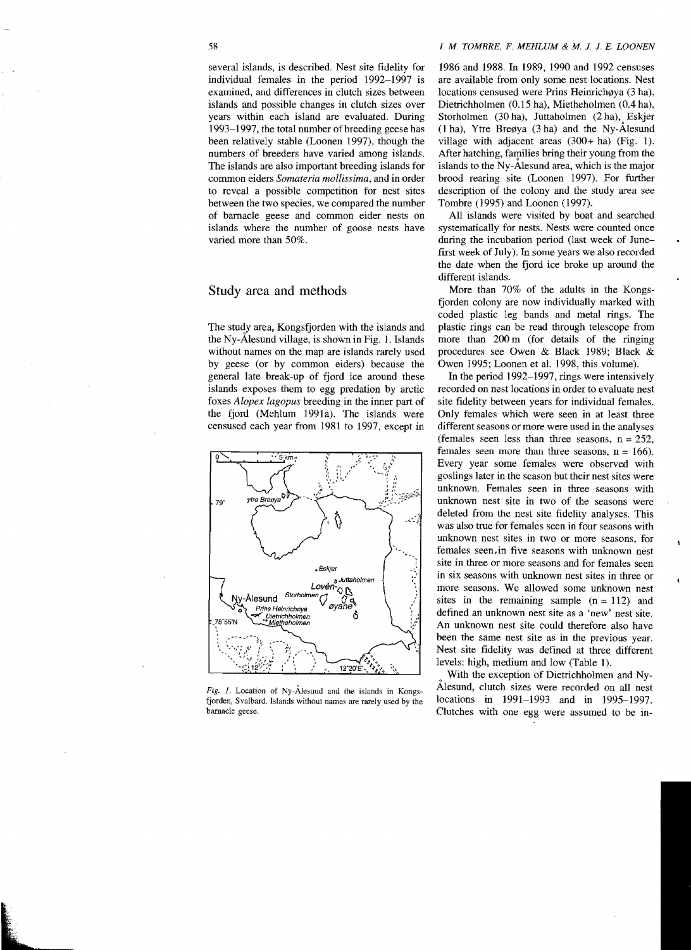several islands, is described. Nest site fidelity for individual females in the period 1992-1997 is examined, and differences in clutch sizes between islands and possible changes in clutch sizes over years within each island are evaluated. During 1993-1997, the total number of breeding geese has been relatively stable (Loonen 1997), though the numbers of breeders have varied among islands. The islands are also important breeding islands for common eiders *Somateria mollissima,* and in order to reveal a possible competition for nest sites

between the two species, we compared the number of bamacle geese and common eider nests on islands where the number of goose nests have varied more than 50%.

### Study area and methods

The study area, Kongsfjorden with the islands and the Ny- $\AA$ lesund village, is shown in Fig. 1. Islands without names on the map are islands rarely used by geese (or by common eiders) because the general late break-up of fjord ice around these islands exposes them to egg predation by arctic foxes *Alopex lagopus* breeding in the inner part of the fjord (Mehlum 1991a). The islands were censused each year from 1981 to 1997, except in



*Fig,* 1. Location of NY-AIesund and the islands in Kongsfjorden, Svalbard. Islands without names are rarely used by the barnacle geese.

#### 58 *I.* M. *TOMBRE, F. MEHLUM* & *M.* J. 1. *E. LOONEN*

1986 and 1988. In 1989, 1990 and 1992 censuses are available from only some nest locations. Nest locations censused were Prins Heinrichøya (3 ha), Dietrichholmen (0.15 ha), Mietheholmen (0.4 ha), Storholmen (30 ha), Juttaholmen (2 ha), Eskjer  $(1 ha)$ , Ytre Bregya  $(3 ha)$  and the Ny-Alesund village with adjacent areas (300+ ha) (Fig. 1). After hatching, families bring their young from the islands to the NY-Alesund area, which is the major brood rearing site (Loonen 1997). For further description of the colony and the study area see Tombre (1995) and Loonen (1997).

All islands were visited by boat and searched systematically for nests. Nests were counted once during the incubation period (last week of Junefirst week of July). In some years we also recorded the date when the fjord ice broke up around the different islands.

More than 70% of the adults in the Kongsfjorden colony are now individually marked with coded plastic leg bands and metal rings. The plastic rings can be read through telescope from more than 200 m (for details of the ringing procedures see Owen & Black 1989; Black & Owen 1995; Loonen et al. 1998, this volume).

In the period 1992-1997, rings were intensively recorded on nest locations in order to evaluate nest site fidelity between years for individual females. Only females which were seen in at least three different seasons or more were used in the analyses (females seen less than three seasons,  $n = 252$ , females seen more than three seasons,  $n = 166$ ). Every year some females were observed with goslings later in the season but their nest sites were unknown. Females seen in three seasons with unknown nest site in two of the seasons were deleted from the nest site fidelity analyses. This was also true for females seen in four seasons with unknown nest sites in two or more seasons, for females seen,in five seasons with unknown nest site in three or more seasons and for females seen in six seasons with unknown nest sites in three or more seasons. We allowed some unknown nest sites in the remaining sample  $(n = 112)$  and defined an unknown nest site as a 'new' nest site. An unknown nest site could therefore also have been the same nest site as in the previous year. Nest site fidelity was defined at three different levels: high, medium and low (Table 1).

With the exception of Dietrichholmen and Ny-Alesund, clutch sizes were recorded on all nest locations in 1991-1993 and in 1995-1997. Clutches with one egg were assumed to be in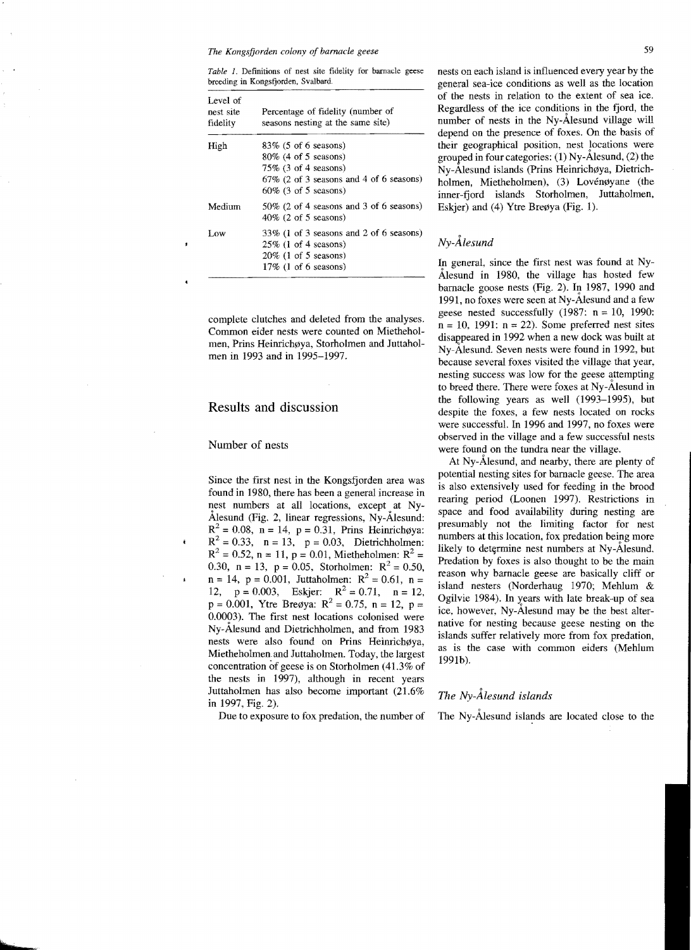*Table* 1. Defmitions of nest site fidelity for barnacle geese breeding in Kongsfjorden, Svalbard.

| Percentage of fidelity (number of<br>seasons nesting at the same site) |
|------------------------------------------------------------------------|
| $83\%$ (5 of 6 seasons)                                                |
| $80\%$ (4 of 5 seasons)                                                |
| $75\%$ (3 of 4 seasons)                                                |
| $67\%$ (2 of 3 seasons and 4 of 6 seasons)                             |
| $60\%$ (3 of 5 seasons)                                                |
| $50\%$ (2 of 4 seasons and 3 of 6 seasons)                             |
| $40\%$ (2 of 5 seasons)                                                |
| $33\%$ (1 of 3 seasons and 2 of 6 seasons)                             |
| $25\%$ (1 of 4 seasons)                                                |
| $20\%$ (1 of 5 seasons)                                                |
| $17\%$ (1 of 6 seasons)                                                |
|                                                                        |

complete clutches and deleted from the analyses. Common eider nests were counted on Mietheholmen, Prins Heinrichøva, Storholmen and Juttaholmen in 1993 and in 1995-1997.

### Results and discussion

### Number of nests

Since the first nest in the Kongsfjorden area was found in 1980, there has been a general increase in nest numbers at all locations, except at Ny-Alesund (Fig. 2, linear regressions, Ny-Alesund:  $R^2 = 0.08$ , n = 14, p = 0.31, Prins Heinrichøya:  $R^2 = 0.33$ ,  $n = 13$ ,  $p = 0.03$ , Dietrichholmen:  $R^2 = 0.52$ , n = 11, p = 0.01, Mietheholmen:  $R^2 =$ 0.30, n = 13, p = 0.05, Storholmen:  $R^2 = 0.50$ ,  $n = 14$ ,  $p = 0.001$ , Juttaholmen:  $R^2 = 0.61$ ,  $n =$ 12,  $p = 0.003$ , Eskjer:  $R^2 = 0.71$ ,  $n = 12$ ,  $p = 0.001$ , Ytre Bregya:  $R^2 = 0.75$ ,  $n = 12$ ,  $p =$ 0.0003). The first nest locations colonised were Ny-Ålesund and Dietrichholmen, and from 1983 nests were also found on Prins Heinrichøya, Mietheholmen.and Juttaholmen. Today, the largest concentration of geese is on Storholmen (41.3% of the nests in 1997), although in recent years Iuttaholmen has also become important (21.6% in 1997, Fig. 2).

Due to exposure to fox predation, the number of

nests on each island is influenced every year by the general sea-ice conditions as well as the location of the nests in relation to the extent of sea ice. Regardless of the ice conditions in the fjord, the number of nests in the Ny-Alesund village will depend on the presence of foxes. On the basis of their geographical position, nest locations were grouped in four categories: (1) Ny-Alesund, (2) the Ny-Ålesund islands (Prins Heinrichøya, Dietrichholmen, Mietheholmen), (3) Lovénøyane (the inner-fjord islands Storholmen, Iuttaholmen, Eskjer) and (4) Ytre Breøya (Fig. 1).

## *Ny-Alesund*

In general, since the first nest was found at Ny-Alesund in 1980, the village has hosted few barnacle goose nests (Fig. 2). In 1987, 1990 and 1991, no foxes were seen at NY-Alesund and a few geese nested successfully  $(1987: n = 10, 1990:$  $n = 10$ , 1991:  $n = 22$ ). Some preferred nest sites disappeared in 1992 when a new dock was built at Ny-Alesund. Seven nests were found in 1992, but because several foxes visited the village that year, nesting success was low for the geese attempting to breed there. There were foxes at NY-Alesund in the following years as well (1993-1995), but despite the foxes, a few nests located on rocks were successful. In 1996 and 1997, no foxes were observed in the village and a few successful nests were found on the tundra near the village.

At Ny-Alesund, and nearby, there are plenty of potential nesting sites for barnacle geese. The area is also extensively used for feeding in the brood rearing period (Loonen 1997). Restrictions in space and food availability during nesting are presumably not the limiting factor for nest numbers at this location, fox predation being more likely to determine nest numbers at Ny-Alesund. Predation by foxes is also thought to be the main reason why barnacle geese are basically cliff or island nesters (Norderhaug 1970; Mehlum & Ogilvie 1984). In years with late break-up of sea ice, however, Ny-Alesund may be the best alternative for nesting because geese nesting on the islands suffer relatively more from fox predation, as is the case with cornmon eiders (Mehlum 1991b).

### *The Ny-Alesund islands*

The Ny-Ålesund islands are located close to the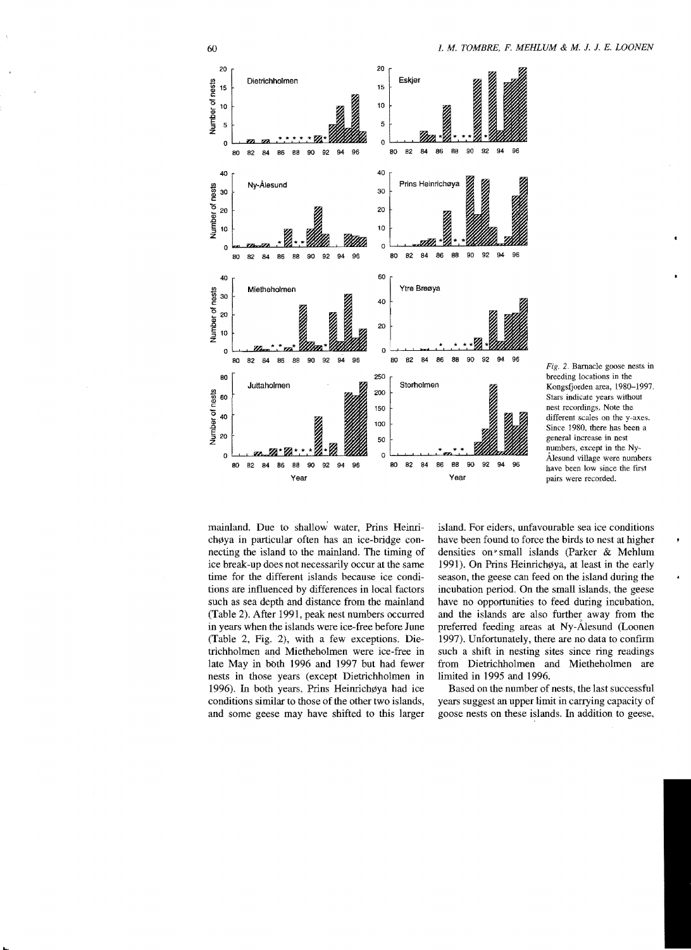

Fig. 2. Barnacle goose nests in breeding locations in the Kongsfjorden area, 1980-1997. Stars indicate years without nest recordings. Note the different scales on the y-axes. Since 1980, there has been a general increase in nest numbers, except in the Ny-Alesund village were numbers have been low since the first pairs were recorded.

mainland. Due to shallow water, Prins Heinrichøya in particular often has an ice-bridge connecting the island to the mainland. The timing of ice break-up does not necessarily occur at the same time for the different islands because ice conditions are influenced by differences in local factors such as sea depth and distance from the mainland (Table 2). After 1991, peak nest numbers occurred in years when the islands were ice-free before June (Table 2, Fig. 2), with a few exceptions. Dietrichholmen and Mietheholmen were ice-free in late May in both 1996 and 1997 but had fewer nests in those years (except Dietrichholmen in 1996). In both years, Prins Heinrich $\phi$ ya had ice conditions similar to those of the other two islands, and some geese may have shifted to this larger

island. For eiders, unfavourable sea ice conditions have been found to force the birds to nest at higher densities on? small islands (Parker & Mehlum 1991). On Prins Heinrichøya, at least in the early season, the geese can feed on the island during the incubation period. On the small islands, the geese have no opportunities to feed during incubation, and the islands are also further away from the preferred feeding areas at NY-Alesund (Loonen 1997). Unfortunately, there are no data to confirm such a shift in nesting sites since ring readings from Dietrichholmen and Mietheholmen are limited in 1995 and 1996.

Based on the number of nests, the last successful years suggest an upper limit in carrying capacity of goose nests on these islands. In addition to geese,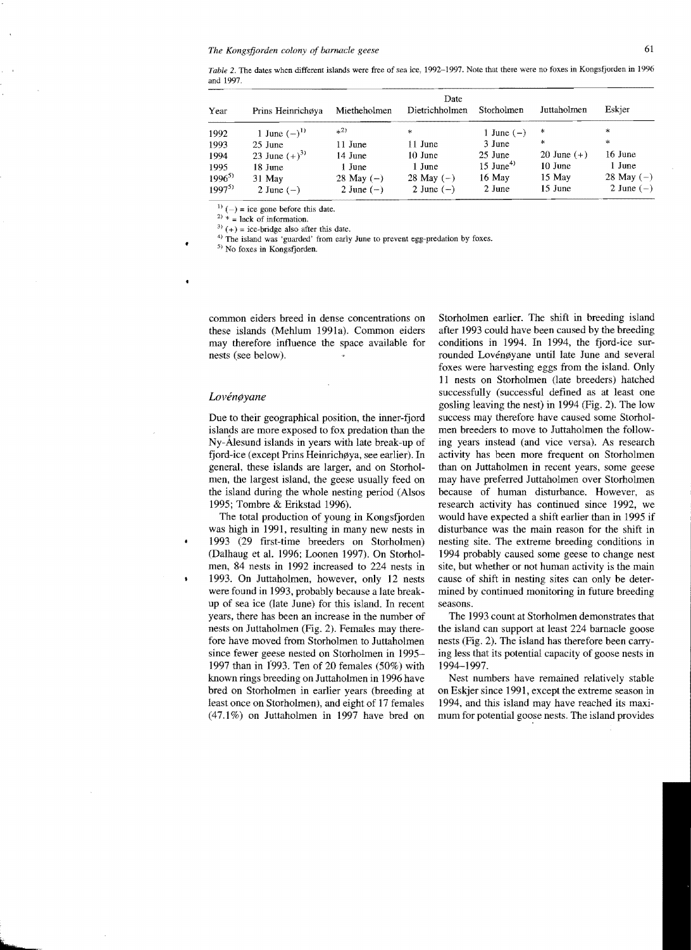*Table* 2. The dates when different islands were free of sea ice, 1992-1997. Note that there were no foxes in Kongsfjorden in 1996 and 1997.

| Year       | Prins Heinrichøya | Mietheholmen | Date<br>Dietrichholmen | Storholmen              | Juttaholmen   | Eskjer       |
|------------|-------------------|--------------|------------------------|-------------------------|---------------|--------------|
| 1992       | 1 June $(-)^{1}$  | $^{(2)}$     | *                      | 1 June $(-)$            | *             | $\ast$       |
| 1993       | 25 June           | 11 June      | 11 June                | 3 June                  | $\ast$        | $\ast$       |
| 1994       | 23 June $(+)^{3}$ | 14 June      | 10 June                | 25 June                 | 20 June $(+)$ | 16 June      |
| 1995       | 18 June           | 1 June       | 1 June                 | $15$ June <sup>4)</sup> | $10$ June     | 1 June       |
| $1996^{5}$ | 31 May            | 28 May $(-)$ | 28 May $(-)$           | 16 May                  | 15 May        | 28 May $(-)$ |
| $1997^{5}$ | 2 June $(-)$      | 2 June $(-)$ | 2 June $(-)$           | 2 June                  | 15 June       | 2 June $(-)$ |

 $(1)(-) = ice$  gone before this date.

 $2$ <sup>2)</sup>  $*$  = lack of information.

 $3)$  (+) = ice-bridge also after this date.

<sup>4)</sup> The island was 'guarded' from early June to prevent egg-predation by foxes.

5) No foxes in Kongsfjorden.

common eiders breed in dense concentrations on these islands (Mehlum 1991a). Common eiders may therefore influence the space available for nests (see below).

#### Lovénøyane

٠

 $\bullet$ 

Due to their geographical position, the inner-fjord islands are more exposed to fox predation than the Ny-AIesund islands in years with late break-up of fjord-ice (except Prins Heinrichøya, see earlier). In general, these islands are larger, and on Storholmen, the largest island, the geese usually feed on the island during the whole nesting period (Alsos 1995; Tombre & Erikstad 1996).

The total production of young in Kongsfjorden was high in 1991, resulting in many new nests in 1993 (29 first-time breeders on Storholmen) (Dalhaug et al. 1996; Loonen 1997). On Storholmen, 84 nests in 1992 increased to 224 nests in 1993. On Juttaholmen, however, only 12 nests were found in 1993, probably because a late breakup of sea ice (late June) for this island. In recent years, there has been an increase in the number of nests on Juttaholmen (Fig. 2). Females may therefore have moved from Storholmen to Juttaholmen since fewer geese nested on Storholmen in 1995 1997 than in f993. Ten of 20 females (50%) with known rings breeding on Juttaholmen in 1996 have bred on Storholmen in earlier years (breeding at least once on Storholmen), and eight of 17 females (47.1%) on Juttaholmen in 1997 have bred on

Storholmen earlier. The shift in breeding island after 1993 could have been caused by the breeding conditions in 1994. In 1994, the fjord-ice surrounded Lovénøyane until late June and several foxes were harvesting eggs from the island. Only 11 nests on Storholmen (late breeders) hatched successfully (successful defined as at least one gosling leaving the nest) in 1994 (Fig. 2). The low success may therefore have caused some Storholmen breeders to move to Juttaholmen the following years instead (and vice versa). As research activity has been more frequent on Storholmen than on Juttaholmen in recent years, some geese may have preferred Juttaholmen over Storholmen because of human disturbance. However, as research activity has continued since 1992, we would have expected a shift earlier than in 1995 if disturbance was the main reason for the shift in nesting site. The extreme breeding conditions in 1994 probably caused some geese to change nest site, but whether or not human activity is the main cause of shift in nesting sites can only be determined by continued monitoring in future breeding seasons.

The 1993 count at Storholmen demonstrates that the island can support at least 224 barnacle goose nests (Fig. 2). The island has therefore been carrying less that its potential capacity of goose nests in 1994-1997.

Nest numbers have remained relatively stable on Eskjer since 1991, except the extreme season in 1994, and this island may have reached its maximum for potential goose nests. The island provides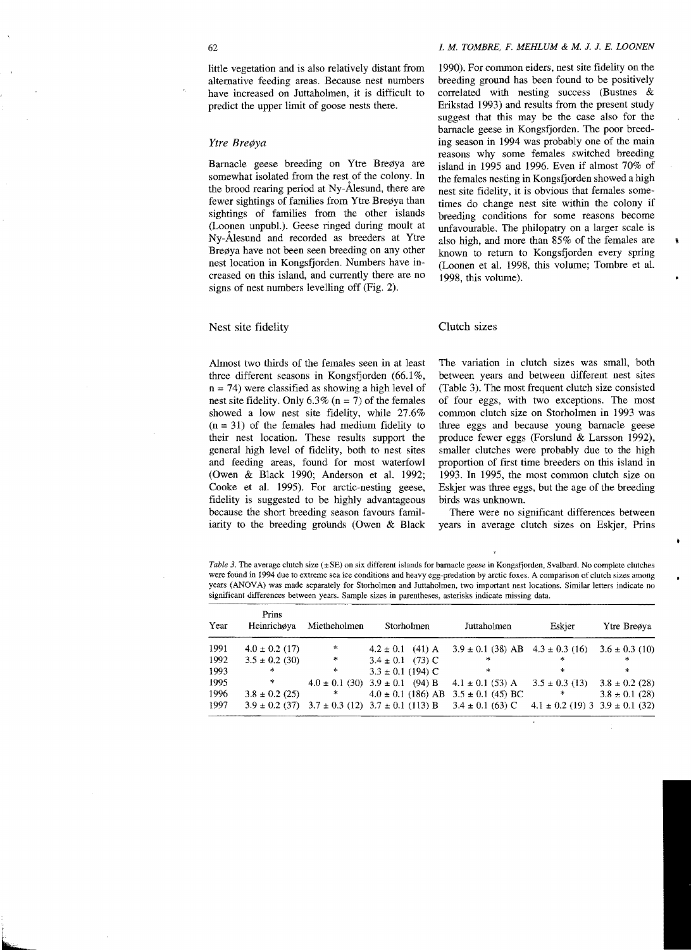little vegetation and is also relatively distant from alternative feeding areas. Because nest numbers have increased on luttaholmen, it is difficult to predict the upper limit of goose nests there.

#### Ytre Breøya

Barnacle geese breeding on Ytre Breøya are somewhat isolated from the rest of the colony. In the brood rearing period at Ny-Alesund, there are fewer sightings of families from Ytre Breøya than sightings of families from the other islands (Loonen unpub!.). Geese ringed during moult at Ny-Alesund and recorded as breeders at Ytre Breøya have not been seen breeding on any other nest location in Kongsfjorden. Numbers have increased on this island, and currently there are no signs of nest numbers levelling off (Fig. 2).

### Nest site fidelity

Almost two thirds of the females seen in at least three different seasons in Kongsfjorden (66.1%,  $n = 74$ ) were classified as showing a high level of nest site fidelity. Only  $6.3\%$  (n = 7) of the females showed a low nest site fidelity, while 27.6%  $(n = 31)$  of the females had medium fidelity to their nest location. These results support the general high level of fidelity, both to nest sites and feeding areas, found for most waterfowl (Owen & Black 1990; Anderson et al. 1992; Cooke et al. 1995). For arctic-nesting geese, fidelity is suggested to be highly advantageous because the short breeding season favours farniliarity to the breeding grounds (Owen  $& Black$ 

#### 62 1. *M. TOMBRE, F. MEHLUM* & *M.* 1. 1. *E. LOONEN*

1990). For common eiders, nest site fidelity on the breeding ground has been found to be positively correlated with nesting success (Bustnes & Erikstad 1993) and results from the present study suggest that this may be the case also for the barnacle geese in Kongsfjorden. The poor breeding season in 1994 was probably one of the main reasons why some females switched breeding island in 1995 and 1996. Even if almost 70% of the females nesting in Kongsfjorden showed a high nest site fidelity, it is obvious that females sometimes do change nest site within the colony if breeding conditions for some reasons become unfavourable. The philopatry on a larger scale is also high, and more than 85% of the females are known to return to Kongsfjorden every spring (Loonen et al. 1998, this volume; Tombre et al. 1998, this volume).

i

#### Clutch sizes

The variation in clutch sizes was small, both between years and between different nest sites (Table 3). The most frequent clutch size consisted of four eggs, with two exceptions. The most common clutch size on Storholmen in 1993 was three eggs and because young barnacle geese produce fewer eggs (Forslund & Larsson 1992), smaller clutches were probably due to the high proportion of first time breeders on this island in 1993. In 1995, the most common clutch size on Eskjer was three eggs, but the age of the breeding birds was unknown.

There were no significant differences between years in average clutch sizes on Eskjer, Prins

*Table 3*. The average clutch size ( $\pm$ SE) on six different islands for barnacle geese in Kongsfjorden, Svalbard, No complete clutches were found in 1994 due to extreme sea ice conditions and heavy egg-predation by arctic foxes. A comparison of clutch sizes among years (ANOVA) was made separately for Storholmen and Iuttaholmen. two important nest locations. Similar letters indicate no significant differences between years. Sample sizes in parentheses. asterisks indicate missing data.

| Year | Prins<br>Heinrichova | Mietheholmen  | Storholmen                                   | Juttaholmen                              | Eskier                                  | Ytre Breøya        |
|------|----------------------|---------------|----------------------------------------------|------------------------------------------|-----------------------------------------|--------------------|
| 1991 | $4.0 \pm 0.2$ (17)   | *             | $4.2 \pm 0.1$ (41) A                         | $3.9 \pm 0.1$ (38) AB $4.3 \pm 0.3$ (16) |                                         | $3.6 \pm 0.3$ (10) |
| 1992 | $3.5 \pm 0.2$ (30)   | *             | $3.4 \pm 0.1$ (73) C                         | $\ast$                                   | 未                                       | ÷.                 |
| 1993 | *                    | $\mathcal{H}$ | $3.3 \pm 0.1$ (194) C                        | ×                                        | 実                                       | ∗                  |
| 1995 | *                    |               | $4.0 \pm 0.1$ (30) $3.9 \pm 0.1$ (94) B      | $4.1 \pm 0.1$ (53) A                     | $3.5 \pm 0.3$ (13)                      | $3.8 \pm 0.2$ (28) |
| 1996 | $3.8 \pm 0.2$ (25)   | $\infty$      | $4.0 \pm 0.1$ (186) AB $3.5 \pm 0.1$ (45) BC |                                          | *                                       | $3.8 \pm 0.1$ (28) |
| 1997 | $3.9 \pm 0.2$ (37)   |               | $3.7 \pm 0.3$ (12) $3.7 \pm 0.1$ (113) B     | $3.4 \pm 0.1$ (63) C                     | $4.1 \pm 0.2$ (19) 3 3.9 $\pm$ 0.1 (32) |                    |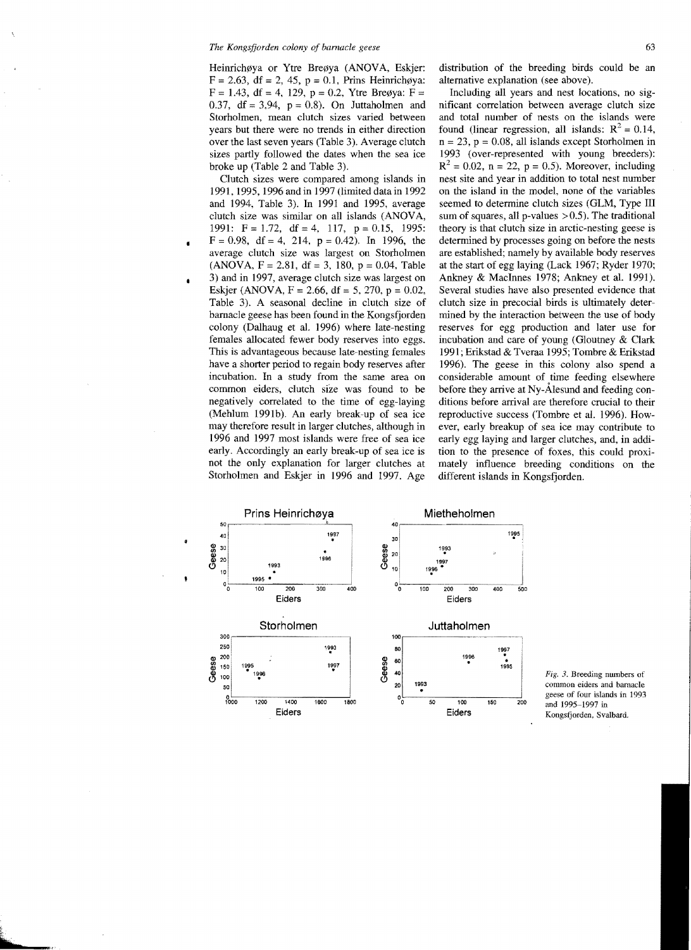Heinrichøya or Ytre Breøya (ANOVA, Eskjer:  $F = 2.63$ , df = 2, 45, p = 0.1, Prins Heinrichgya:  $F = 1.43$ , df = 4, 129, p = 0.2, Ytre Breøya:  $F =$ 0.37, df = 3,94,  $p = 0.8$ ). On Juttaholmen and Storholmen, mean clutch sizes varied between years but there were no trends in either direction over the last seven years (Table 3). Average clutch sizes partly followed the dates when the sea ice broke up (Table 2 and Table 3).

Clutch sizes were compared among islands in 1991, 1995, 1996 and in 1997 (limited data in 1992 and 1994, Table 3). In 1991 and 1995, average clutch size was similar on all islands (ANOVA, 1991:  $F = 1.72$ , df = 4, 117, p = 0.15, 1995:  $F = 0.98$ , df = 4, 214, p = 0.42). In 1996, the average clutch size was largest on Storholmen (ANOVA,  $F = 2.81$ , df = 3, 180, p = 0.04, Table 3) and in 1997, average clutch size was largest on Eskjer (ANOVA,  $F = 2.66$ , df = 5, 270, p = 0.02, Table 3). A seasonal decline in clutch size of barnacle geese has been found in the Kongsfjorden colony (Dalhaug et al. 1996) where late-nesting females allocated fewer body reserves into eggs. This is advantageous because late-nesting females have a shorter period to regain body reserves after incubation. In a study from the same area on common eiders, clutch size was found to be negatively correlated to the time of egg-laying (Mehlum 1991b). An early break-up of sea ice may therefore result in larger clutches, although in 1996 and 1997 most islands were free of sea ice early. Accordingly an early break-up of sea ice is not the only explanation for larger clutches at Storholmen and Eskjer in 1996 and 1997. Age

 $\blacksquare$ 

 $\bullet$ 

distribution of the breeding birds could be an alternative explanation (see above).

Including all years and nest locations, no significant correlation between average clutch size and total number of nests on the islands were found (linear regression, all islands:  $R^2 = 0.14$ ,  $n = 23$ ,  $p = 0.08$ , all islands except Storholmen in 1993 (over-represented with young breeders):  $R^{2} = 0.02$ , n = 22, p = 0.5). Moreover, including nest site and year in addition to total nest number on the island in the model, none of the variables seemed to determine clutch sizes (GLM, Type III sum of squares, all p-values  $>0.5$ ). The traditional theory is that clutch size in arctic-nesting geese is determined by processes going on before the nests are established; namely by available body reserves at the start of egg laying (Lack 1967; Ryder 1970; Ankney & MacInnes 1978; Ankney et al. 1991). Several studies have also presented evidence that clutch size in precocial birds is ultimately determined by the interaction between the use of body reserves for egg production and later use for incubation and care of young (Gloutney & Clark 1991 ; Erikstad & Tveraa 1995; Tombre & Erikstad 1996). The geese in this colony also spend a considerable amount of time feeding elsewhere before they arrive at NY-Alesund and feeding conditions before arrival are therefore crucial to their reproductive success (Tombre et al. 1996). However, early breakup of sea ice may contribute to early egg laying and larger clutches, and, in addition to the presence of foxes, this could proximately influence breeding conditions on the different islands in Kongsfjorden.



Fig. }. Breeding numbers of common eiders and barnacle geese of four islands in 1993 and 1995~1997 in Kongsfjorden, Svalbard.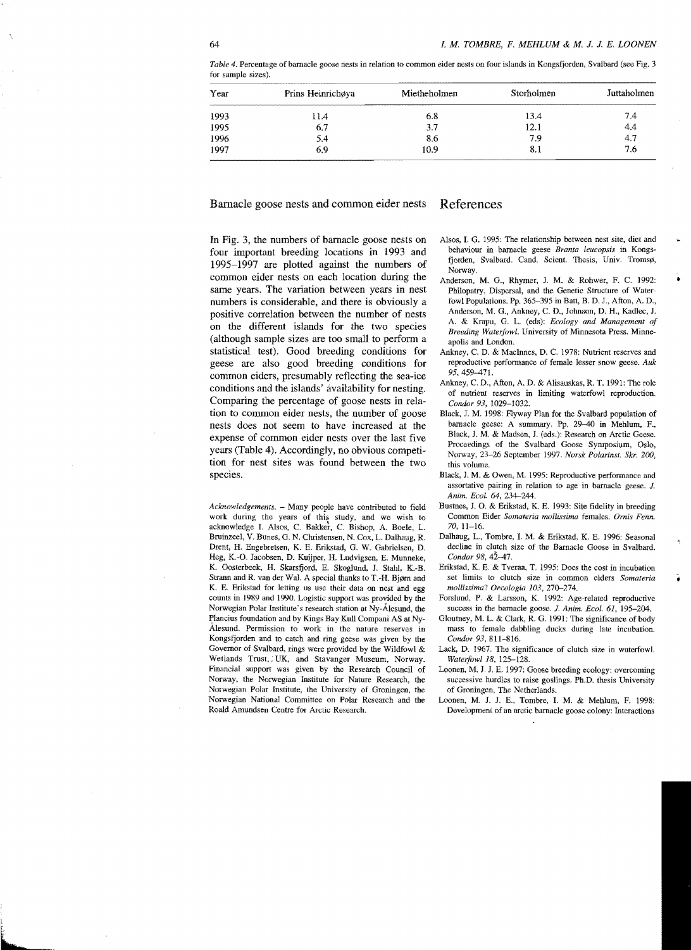| Year                 | Prins Heinrichøya | Mietheholmen | Storholmen | Juttaholmen |
|----------------------|-------------------|--------------|------------|-------------|
|                      | 11.4              | 6.8          | 13.4       | 7.4         |
| 1993<br>1995<br>1996 | 6.7               | 3.7          | 12.1       | 4.4         |
|                      | 5.4               | 8.6          | 7.9        | 4.7         |
| 1997                 | 6.9               | 10.9         | 8.1        | 7.6         |

*Table* 4. Percentage of barnacle goose nests in relation to common eider nests on four islands in Kongsfjorden, Svalbard (see Fig. 3 for sample sizes).

Barnacle goose nests and common eider nests References

In Fig. 3, the numbers of barnacle goose nests on four important breeding locations in 1993 and 1995-1997 are plotted against the numbers of common eider nests on each location during the same years. The variation between years in nest numbers is considerable, and there is obviously a positive correlation between the number of nests on the different islands for the two species (although sample sizes are too small to perform a statistical test). Good breeding conditions for geese are also good breeding conditions for common eiders, presumably reflecting the sea-ice conditions and the islands' availability for nesting. Comparing the percentage of goose nests in relation to common eider nests, the number of goose nests does not seem to have increased at the expense of common eider nests over the last five years (Table 4). Accordingly, no obvious competition for nest sites was found between the two species.

*Acknowledgements.* - Many people have contributed to field work during the years of this study, and we wish to acknowledge I. Alsos, C. Bakker, C. Bishop, A. Boele, L. Bruinzeel, V. BUnes, G. N. Christensen, N. Cox, L. Dalhaug, R. Drent, H. Engebretsen, K. E. Erikstad, G. W. Gabrielsen. D. Heg, K.-O. Jacobsen, D. Kuijper, H. Ludvigsen, E. Munneke, K. Oosterbeek, H. Skarsfjord, E. Skoglund, J. Stahl, K.-B. Strann and R. van der Wal. A special thanks to T.-H. Bjørn and K. E. Erikstad for letting us use their data on nest and egg counts in 1989 and 1990. Logistic support was provided by the Norwegian Polar Institute's research station at Ny-Alesund, the Plancius foundation and by Kings Bay Kull Compani AS at Ny-AIesund. Permission to work in the nature reserves in Kongsfjorden and to catch and ring geese was given by the Governor of Svalbard, rings were provided by the Wildfowl & Wetlands Trust, UK, and Stavanger Museum, Norway. Financial support was given by the Research Council of Norway, the Norwegian Institute for Nature Research, the Norwegian Polar Institute, the University of Groningen, the Norwegian National Committee On Polar Research and the Roald Amundsen Centre for Arctic Research.

Alsos, I. G. 1995: The relationship between nest site, diet and behaviour in barnacle geese *Branta leucopsis* in Kongsfjorden, Svalbard. Cand. Scient. Thesis, Univ. Tromsø, Norway.

 $\mathbf{r}$ 

- Anderson, M. G., Rhymer, J. M. & Rohwer, F. C. 1992: Philopatry, Dispersal, and the Genetic Structure of Waterfowl Populations. Pp. 365-395 in Batt, B. D. J., Afton, A. D., Anderson, M. G., Ankney, C. D., Johnson, D. H., Kadlec, J. A. & Krapu, G. L. (eds): *Ecology and Management of Breeding Waterfowl.* University of Minnesota Press. Minneapolis and London.
- Ankney, C. D. & MacInnes, D. C. 1978: Nutrient reserves and reproductive performance of female lesser snow geese.  $Auk$ 95, 459-471.
- Ankney, C. D., Afton, A. D. & Alisauskas, R. T. 1991: The role of nutrient reserves in limiting waterfowl reproduction. *Condor* 93, 1029-1032.
- Black, J. M. 1998: Flyway Plan for the Svalbard population of barnacle geese: A summary. Pp. 29-40 in Mehlum, F., Black, J. M. & Madsen, J. (eds.): Research on Arctic Geese. Proceedings of the Svalbard Goose Symposium, Oslo, Norway, 23-26 September 1997. *Norsk Polarinst. Skr. 200*, this volume.
- Black, J. M. & Owen, M. 1995: Reproductive performance and assortative pairing in relation to age in barnacle geese. J. *Anim. EcoL* 64, 234-244.
- Bustnes, J. O. & Erikstad, K. E. 1993: Site fidelity in breeding Common Eider *Somateria mollissima* females. *Omis Fenn.*  70, 11-16.
- Dalhaug, L., Tombre, I. M. & Erikstad, K. E. 1996: Seasonal decline in clutch size of the Barnacle Goose in Svalbard. *Condor 98,*
- Erikstad, K. E. & Tveraa, T. 1995: Does the cost in incubation set limits to clutch size in common eiders *Somateria mollissima? Oecologia 103, 270-274.*
- Forslund, P. & Larsson, K. 1992: Age-related reproductive success in the barnacle goose. *J. Anim. Ecol. 61*, 195-204.
- Gloutney, M. L. & Clark, R. G. 1991: The significance of body mass to female dabbling ducks during late incubation. *Condor* 93. 811-816.
- Lack, D. 1967. The significance of clutch size in waterfowl. *Waterfowl 18,* 125-128.
- Loonen, M. J. J. E. 1997: Goose breeding ecology: overcoming successive hurdles to raise goslings. Ph.D. thesis University of Groningen, The Netherlands.
- Loonen, M. J. J. E., Tombre, I. M. & Mehlum, F. 1998: Development of an arctic barnacle goose colony: Interactions